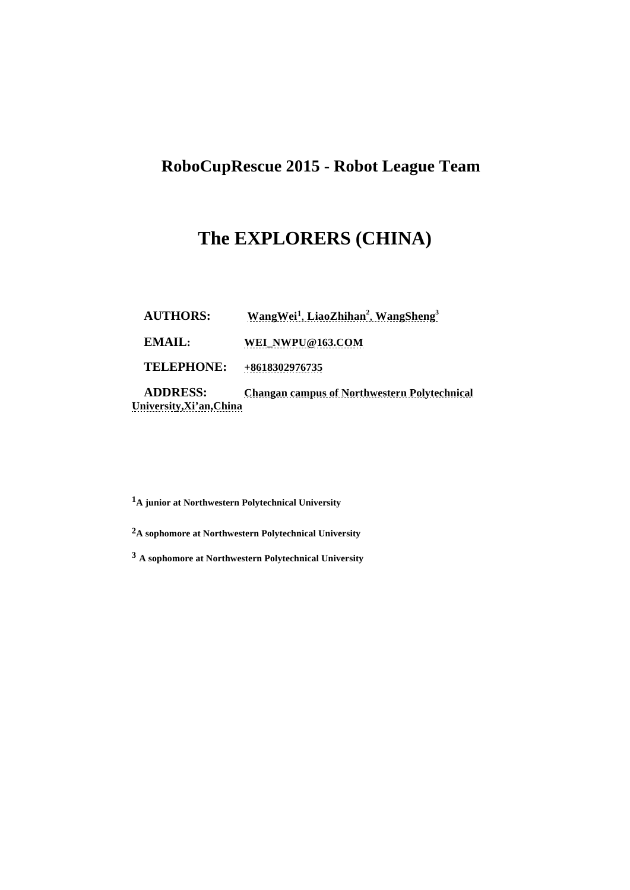## **RoboCupRescue 2015 - Robot League Team**

# **The EXPLORERS (CHINA)**

| <b>AUTHORS:</b>                             | WangWei <sup>1</sup> , LiaoZhihan <sup>2</sup> , WangSheng <sup>3</sup> |  |
|---------------------------------------------|-------------------------------------------------------------------------|--|
| EMAIL:                                      | WEI NWPU@163.COM                                                        |  |
| <b>TELEPHONE:</b>                           | $+8618302976735$                                                        |  |
| <b>ADDRESS:</b><br>University, Xi'an, China | <b>Changan campus of Northwestern Polytechnical</b>                     |  |

**1A junior at Northwestern Polytechnical University**

- **2A sophomore at Northwestern Polytechnical University**
- **3 A sophomore at Northwestern Polytechnical University**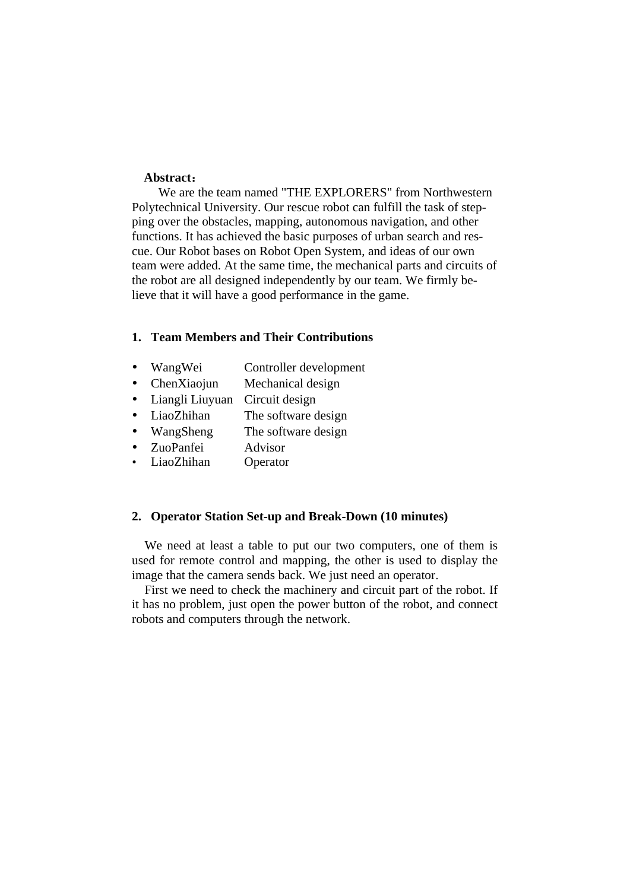#### **Abstract**:

 We are the team named "THE EXPLORERS" from Northwestern Polytechnical University. Our rescue robot can fulfill the task of stepping over the obstacles, mapping, autonomous navigation, and other functions. It has achieved the basic purposes of urban search and rescue. Our Robot bases on Robot Open System, and ideas of our own team were added. At the same time, the mechanical parts and circuits of the robot are all designed independently by our team. We firmly believe that it will have a good performance in the game.

## **1. Team Members and Their Contributions**

- WangWei Controller development
- ChenXiaojun Mechanical design
- Liangli Liuyuan Circuit design
- LiaoZhihan The software design
- WangSheng The software design
- ZuoPanfei Advisor
- LiaoZhihan Operator

#### **2. Operator Station Set-up and Break-Down (10 minutes)**

We need at least a table to put our two computers, one of them is used for remote control and mapping, the other is used to display the image that the camera sends back. We just need an operator.

First we need to check the machinery and circuit part of the robot. If it has no problem, just open the power button of the robot, and connect robots and computers through the network.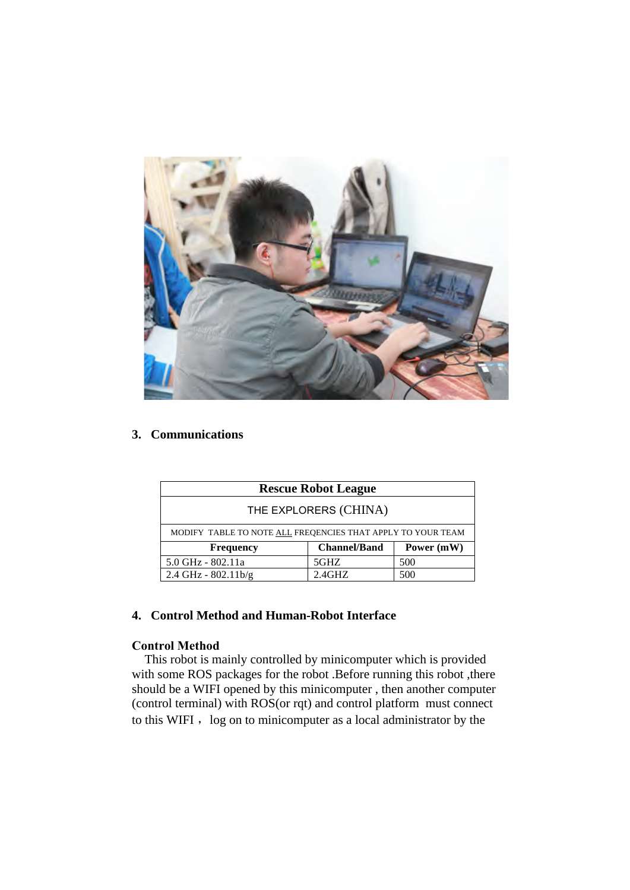

## **3. Communications**

| <b>Rescue Robot League</b>                                  |                     |            |  |  |
|-------------------------------------------------------------|---------------------|------------|--|--|
| THE EXPLORERS (CHINA)                                       |                     |            |  |  |
| MODIFY TABLE TO NOTE ALL FREQENCIES THAT APPLY TO YOUR TEAM |                     |            |  |  |
| <b>Frequency</b>                                            | <b>Channel/Band</b> | Power (mW) |  |  |
| 5.0 GHz - 802.11a                                           | 5GHz                | 500        |  |  |
| $2.4$ GHz - 802.11b/g                                       | $2.4$ GHZ           | 500        |  |  |

## **4. Control Method and Human-Robot Interface**

## **Control Method**

This robot is mainly controlled by minicomputer which is provided with some ROS packages for the robot .Before running this robot ,there should be a WIFI opened by this minicomputer , then another computer (control terminal) with ROS(or rqt) and control platform must connect to this WIFI , log on to minicomputer as a local administrator by the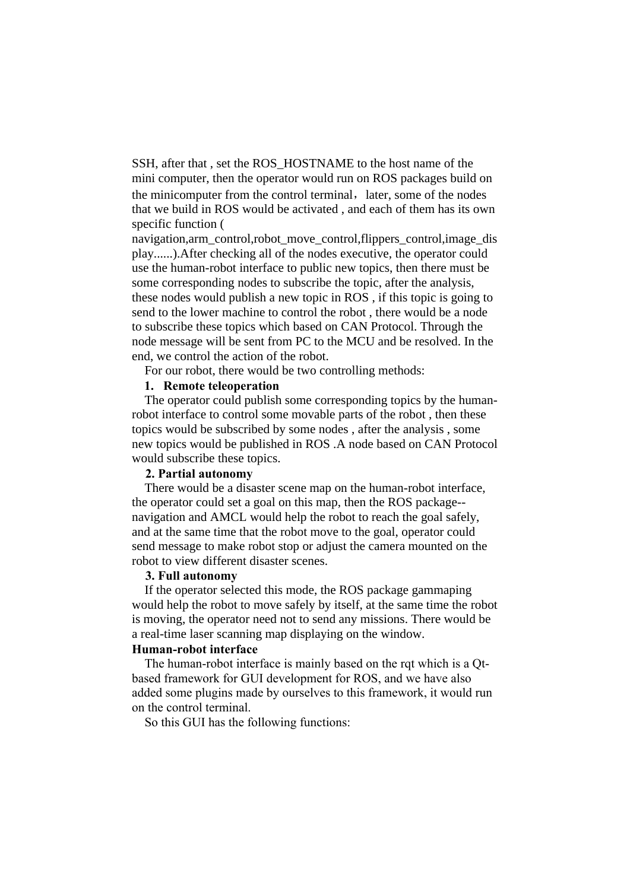SSH, after that , set the ROS\_HOSTNAME to the host name of the mini computer, then the operator would run on ROS packages build on the minicomputer from the control terminal, later, some of the nodes that we build in ROS would be activated , and each of them has its own specific function (

navigation,arm\_control,robot\_move\_control,flippers\_control,image\_dis play......).After checking all of the nodes executive, the operator could use the human-robot interface to public new topics, then there must be some corresponding nodes to subscribe the topic, after the analysis, these nodes would publish a new topic in ROS , if this topic is going to send to the lower machine to control the robot , there would be a node to subscribe these topics which based on CAN Protocol. Through the node message will be sent from PC to the MCU and be resolved. In the end, we control the action of the robot.

For our robot, there would be two controlling methods:

## **1. Remote teleoperation**

The operator could publish some corresponding topics by the humanrobot interface to control some movable parts of the robot , then these topics would be subscribed by some nodes , after the analysis , some new topics would be published in ROS .A node based on CAN Protocol would subscribe these topics.

## **2. Partial autonomy**

There would be a disaster scene map on the human-robot interface, the operator could set a goal on this map, then the ROS package- navigation and AMCL would help the robot to reach the goal safely, and at the same time that the robot move to the goal, operator could send message to make robot stop or adjust the camera mounted on the robot to view different disaster scenes.

#### **3. Full autonomy**

If the operator selected this mode, the ROS package gammaping would help the robot to move safely by itself, at the same time the robot is moving, the operator need not to send any missions. There would be a real-time laser scanning map displaying on the window.

#### **Human-robot interface**

The human-robot interface is mainly based on the rqt which is a Qtbased framework for GUI development for ROS, and we have also added some plugins made by ourselves to this framework, it would run on the control terminal.

So this GUI has the following functions: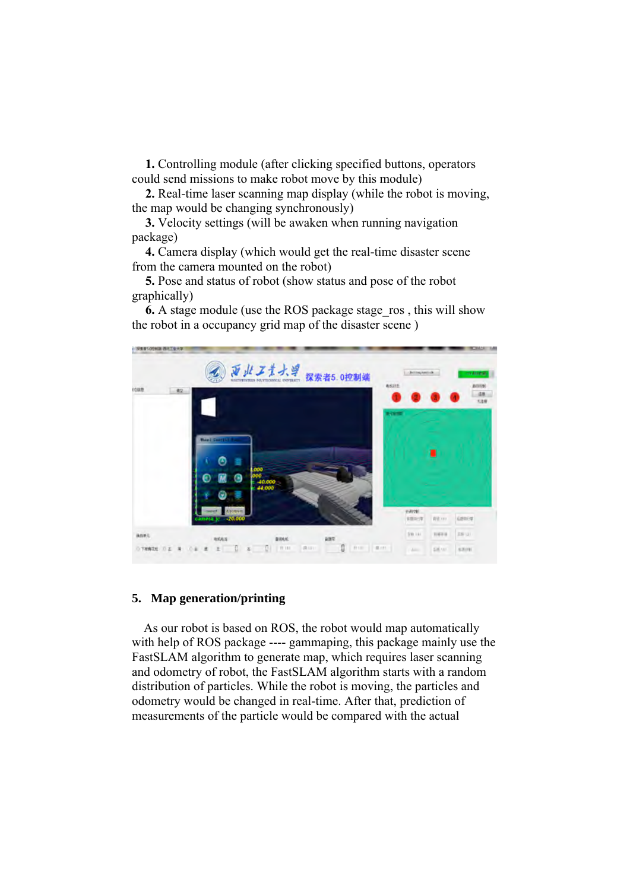**1.** Controlling module (after clicking specified buttons, operators could send missions to make robot move by this module)

**2.** Real-time laser scanning map display (while the robot is moving, the map would be changing synchronously)

**3.** Velocity settings (will be awaken when running navigation package)

**4.** Camera display (which would get the real-time disaster scene from the camera mounted on the robot)

**5.** Pose and status of robot (show status and pose of the robot graphically)

● 深雪青50円時間 西洋工会大学 西北工業大学 者5.0控制算 tous  $-82$ as marcal datoria mit in 29.14 za u anes. b  $1.001$  $\overline{\Omega}$ OTHATH OZ # pi u  $8.319$ 

**6.** A stage module (use the ROS package stage\_ros , this will show the robot in a occupancy grid map of the disaster scene )

## **5. Map generation/printing**

As our robot is based on ROS, the robot would map automatically with help of ROS package ---- gammaping, this package mainly use the FastSLAM algorithm to generate map, which requires laser scanning and odometry of robot, the FastSLAM algorithm starts with a random distribution of particles. While the robot is moving, the particles and odometry would be changed in real-time. After that, prediction of measurements of the particle would be compared with the actual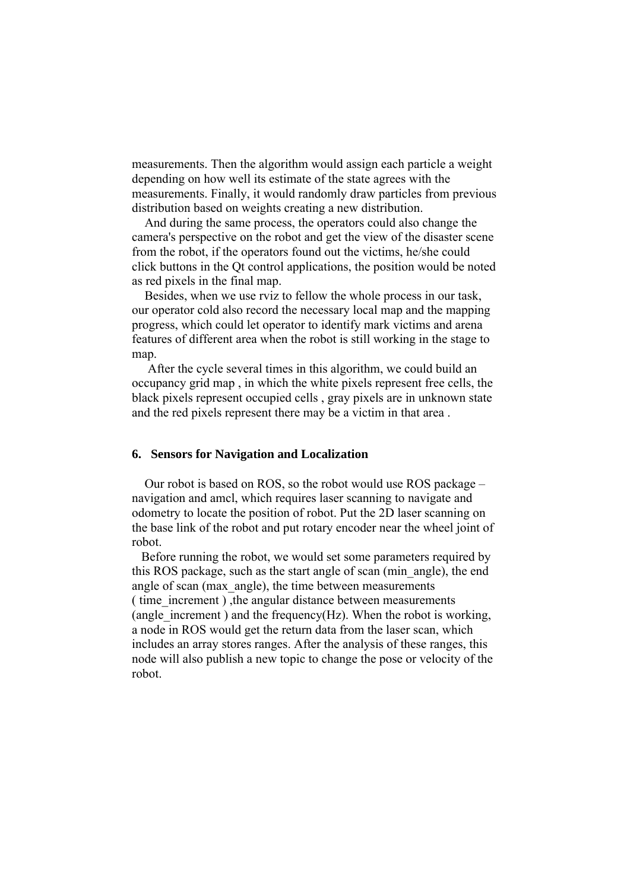measurements. Then the algorithm would assign each particle a weight depending on how well its estimate of the state agrees with the measurements. Finally, it would randomly draw particles from previous distribution based on weights creating a new distribution.

 And during the same process, the operators could also change the camera's perspective on the robot and get the view of the disaster scene from the robot, if the operators found out the victims, he/she could click buttons in the Qt control applications, the position would be noted as red pixels in the final map.

 Besides, when we use rviz to fellow the whole process in our task, our operator cold also record the necessary local map and the mapping progress, which could let operator to identify mark victims and arena features of different area when the robot is still working in the stage to map.

 After the cycle several times in this algorithm, we could build an occupancy grid map , in which the white pixels represent free cells, the black pixels represent occupied cells , gray pixels are in unknown state and the red pixels represent there may be a victim in that area .

#### **6. Sensors for Navigation and Localization**

Our robot is based on ROS, so the robot would use ROS package – navigation and amcl, which requires laser scanning to navigate and odometry to locate the position of robot. Put the 2D laser scanning on the base link of the robot and put rotary encoder near the wheel joint of robot.

 Before running the robot, we would set some parameters required by this ROS package, such as the start angle of scan (min\_angle), the end angle of scan (max\_angle), the time between measurements ( time\_increment ) ,the angular distance between measurements (angle increment) and the frequency $(Hz)$ . When the robot is working, a node in ROS would get the return data from the laser scan, which includes an array stores ranges. After the analysis of these ranges, this node will also publish a new topic to change the pose or velocity of the robot.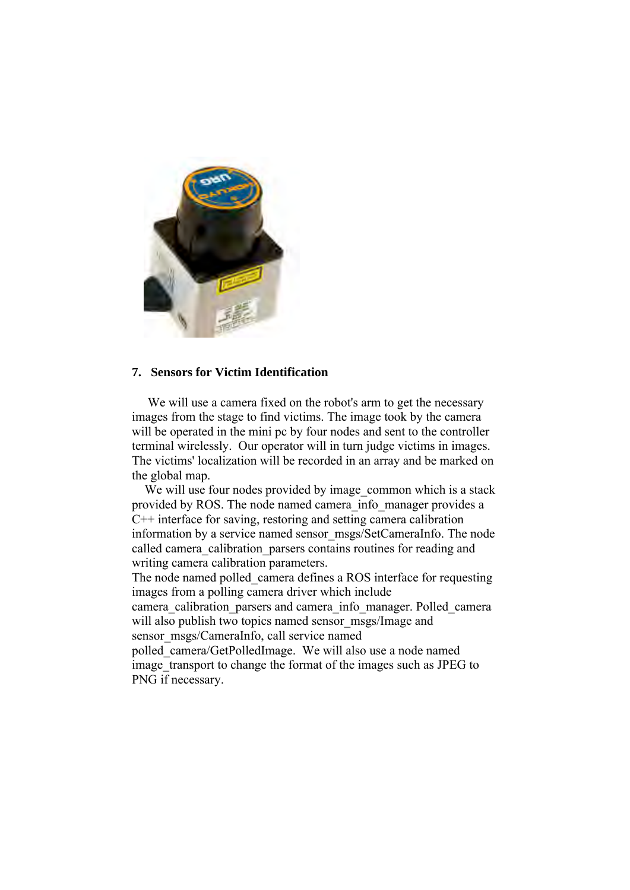

## **7. Sensors for Victim Identification**

We will use a camera fixed on the robot's arm to get the necessary images from the stage to find victims. The image took by the camera will be operated in the mini pc by four nodes and sent to the controller terminal wirelessly. Our operator will in turn judge victims in images. The victims' localization will be recorded in an array and be marked on the global map.

We will use four nodes provided by image common which is a stack provided by ROS. The node named camera\_info\_manager provides a C++ interface for saving, restoring and setting camera calibration information by a service named sensor\_msgs/SetCameraInfo. The node called camera\_calibration\_parsers contains routines for reading and writing camera calibration parameters.

The node named polled camera defines a ROS interface for requesting images from a polling camera driver which include

camera\_calibration\_parsers and camera\_info\_manager. Polled\_camera will also publish two topics named sensor\_msgs/Image and sensor\_msgs/CameraInfo, call service named

polled\_camera/GetPolledImage. We will also use a node named image transport to change the format of the images such as JPEG to PNG if necessary.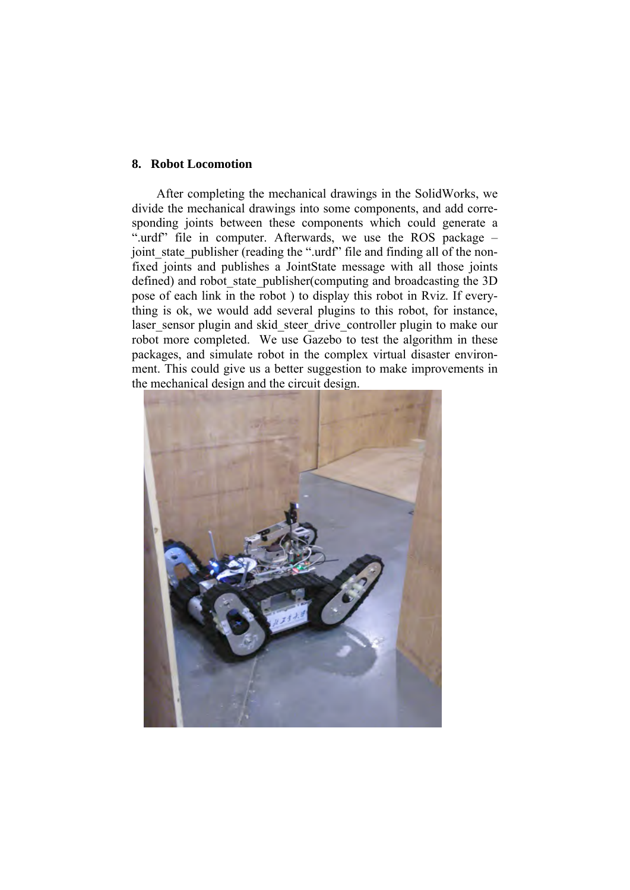#### **8. Robot Locomotion**

 After completing the mechanical drawings in the SolidWorks, we divide the mechanical drawings into some components, and add corresponding joints between these components which could generate a ".urdf" file in computer. Afterwards, we use the ROS package – joint state publisher (reading the ".urdf" file and finding all of the nonfixed joints and publishes a JointState message with all those joints defined) and robot state publisher (computing and broadcasting the 3D pose of each link in the robot ) to display this robot in Rviz. If everything is ok, we would add several plugins to this robot, for instance, laser sensor plugin and skid steer drive controller plugin to make our robot more completed. We use Gazebo to test the algorithm in these packages, and simulate robot in the complex virtual disaster environment. This could give us a better suggestion to make improvements in the mechanical design and the circuit design.

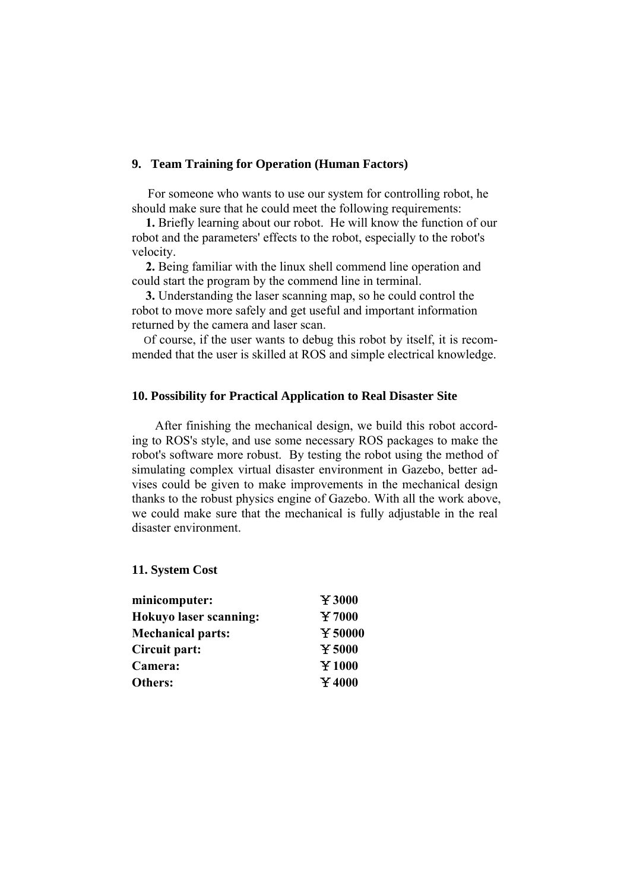#### **9. Team Training for Operation (Human Factors)**

 For someone who wants to use our system for controlling robot, he should make sure that he could meet the following requirements:

**1.** Briefly learning about our robot. He will know the function of our robot and the parameters' effects to the robot, especially to the robot's velocity.

**2.** Being familiar with the linux shell commend line operation and could start the program by the commend line in terminal.

**3.** Understanding the laser scanning map, so he could control the robot to move more safely and get useful and important information returned by the camera and laser scan.

Of course, if the user wants to debug this robot by itself, it is recommended that the user is skilled at ROS and simple electrical knowledge.

#### **10. Possibility for Practical Application to Real Disaster Site**

 After finishing the mechanical design, we build this robot according to ROS's style, and use some necessary ROS packages to make the robot's software more robust. By testing the robot using the method of simulating complex virtual disaster environment in Gazebo, better advises could be given to make improvements in the mechanical design thanks to the robust physics engine of Gazebo. With all the work above, we could make sure that the mechanical is fully adjustable in the real disaster environment.

#### **11. System Cost**

| minicomputer:                 | ¥3000       |
|-------------------------------|-------------|
| <b>Hokuyo laser scanning:</b> | $\rm Y7000$ |
| <b>Mechanical parts:</b>      | ¥50000      |
| Circuit part:                 | Y5000       |
| Camera:                       | Y1000       |
| Others:                       | ¥4000       |
|                               |             |